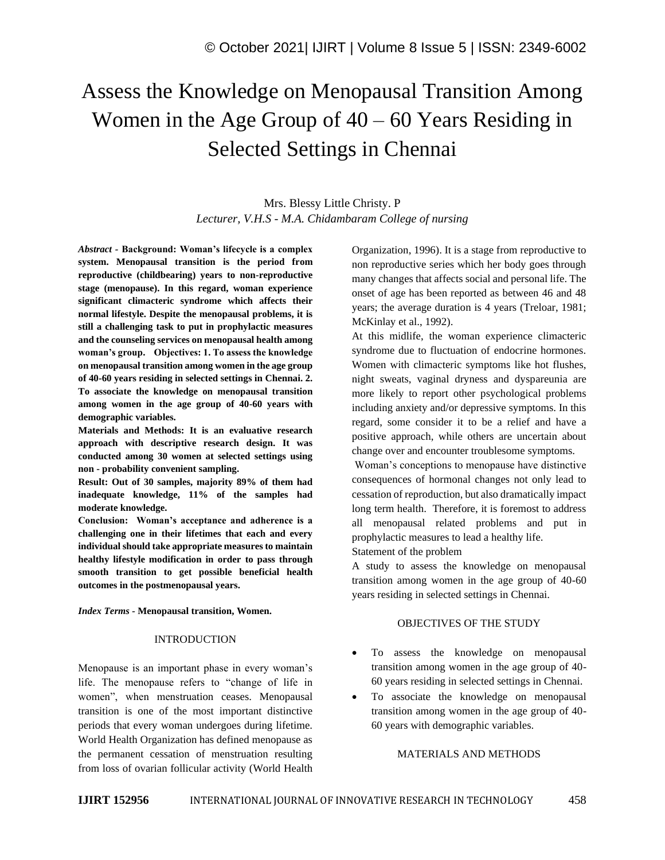# Assess the Knowledge on Menopausal Transition Among Women in the Age Group of  $40 - 60$  Years Residing in Selected Settings in Chennai

Mrs. Blessy Little Christy. P *Lecturer, V.H.S - M.A. Chidambaram College of nursing*

*Abstract -* **Background: Woman's lifecycle is a complex system. Menopausal transition is the period from reproductive (childbearing) years to non-reproductive stage (menopause). In this regard, woman experience significant climacteric syndrome which affects their normal lifestyle. Despite the menopausal problems, it is still a challenging task to put in prophylactic measures and the counseling services on menopausal health among woman's group. Objectives: 1. To assess the knowledge on menopausal transition among women in the age group of 40-60 years residing in selected settings in Chennai. 2. To associate the knowledge on menopausal transition among women in the age group of 40-60 years with demographic variables.** 

**Materials and Methods: It is an evaluative research approach with descriptive research design. It was conducted among 30 women at selected settings using non - probability convenient sampling.**

**Result: Out of 30 samples, majority 89% of them had inadequate knowledge, 11% of the samples had moderate knowledge.**

**Conclusion: Woman's acceptance and adherence is a challenging one in their lifetimes that each and every individual should take appropriate measures to maintain healthy lifestyle modification in order to pass through smooth transition to get possible beneficial health outcomes in the postmenopausal years.**

*Index Terms -* **Menopausal transition, Women.**

## INTRODUCTION

Menopause is an important phase in every woman's life. The menopause refers to "change of life in women", when menstruation ceases. Menopausal transition is one of the most important distinctive periods that every woman undergoes during lifetime. World Health Organization has defined menopause as the permanent cessation of menstruation resulting from loss of ovarian follicular activity (World Health Organization, 1996). It is a stage from reproductive to non reproductive series which her body goes through many changes that affects social and personal life. The onset of age has been reported as between 46 and 48 years; the average duration is 4 years (Treloar, 1981; McKinlay et al., 1992).

At this midlife, the woman experience climacteric syndrome due to fluctuation of endocrine hormones. Women with climacteric symptoms like hot flushes, night sweats, vaginal dryness and dyspareunia are more likely to report other psychological problems including anxiety and/or depressive symptoms. In this regard, some consider it to be a relief and have a positive approach, while others are uncertain about change over and encounter troublesome symptoms.

Woman's conceptions to menopause have distinctive consequences of hormonal changes not only lead to cessation of reproduction, but also dramatically impact long term health. Therefore, it is foremost to address all menopausal related problems and put in prophylactic measures to lead a healthy life.

Statement of the problem

A study to assess the knowledge on menopausal transition among women in the age group of 40-60 years residing in selected settings in Chennai.

## OBJECTIVES OF THE STUDY

- To assess the knowledge on menopausal transition among women in the age group of 40- 60 years residing in selected settings in Chennai.
- To associate the knowledge on menopausal transition among women in the age group of 40- 60 years with demographic variables.

## MATERIALS AND METHODS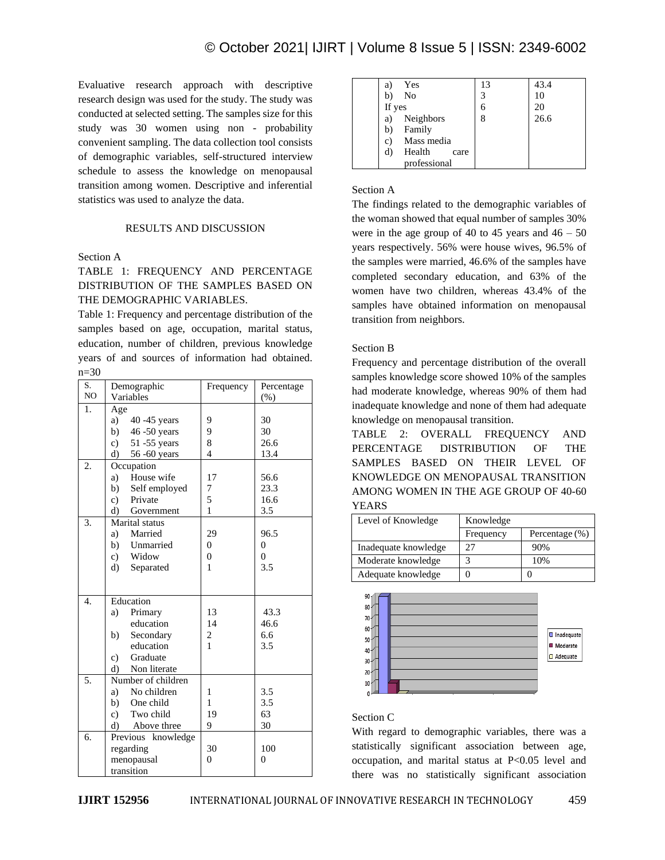Evaluative research approach with descriptive research design was used for the study. The study was conducted at selected setting. The samples size for this study was 30 women using non - probability convenient sampling. The data collection tool consists of demographic variables, self-structured interview schedule to assess the knowledge on menopausal transition among women. Descriptive and inferential statistics was used to analyze the data.

# RESULTS AND DISCUSSION

# Section A

# TABLE 1: FREQUENCY AND PERCENTAGE DISTRIBUTION OF THE SAMPLES BASED ON THE DEMOGRAPHIC VARIABLES.

Table 1: Frequency and percentage distribution of the samples based on age, occupation, marital status, education, number of children, previous knowledge years of and sources of information had obtained. n=30

| S. | Demographic               | Frequency      | Percentage     |
|----|---------------------------|----------------|----------------|
| NO | Variables                 |                | $(\%)$         |
| 1. | Age                       |                |                |
|    | a)<br>40 - 45 years       | 9              | 30             |
|    | b)<br>46 -50 years        | 9              | 30             |
|    | c) $51 - 55$ years        | 8              | 26.6           |
|    | 56 -60 years<br>d)        | $\overline{4}$ | 13.4           |
| 2. | Occupation                |                |                |
|    | House wife<br>a)          | 17             | 56.6           |
|    | b)<br>Self employed       | 7              | 23.3           |
|    | Private<br>c)             | 5              | 16.6           |
|    | d)<br>Government          | $\mathbf{1}$   | 3.5            |
| 3. | Marital status            |                |                |
|    | Married<br>a)             | 29             | 96.5           |
|    | b)<br>Unmarried           | $\overline{0}$ | $\mathbf{0}$   |
|    | Widow<br>c)               | $\overline{0}$ | $\overline{0}$ |
|    | d)<br>Separated           | 1              | 3.5            |
|    |                           |                |                |
| 4. | Education                 |                |                |
|    | a)<br>Primary             | 13             | 43.3           |
|    | education                 | 14             | 46.6           |
|    | Secondary<br>b)           | $\overline{c}$ | 6.6            |
|    | education                 | 1              | 3.5            |
|    | Graduate<br>$\mathbf{c})$ |                |                |
|    | Non literate<br>$\rm d$   |                |                |
| 5. | Number of children        |                |                |
|    | No children<br>a)         | 1              | 3.5            |
|    | b) One child              | 1              | 3.5            |
|    | c) Two child              | 19             | 63             |
|    | Above three<br>d)         | 9              | 30             |
| 6. | Previous knowledge        |                |                |
|    | regarding                 | 30             | 100            |
|    | menopausal                | $\Omega$       | $\overline{0}$ |
|    | transition                |                |                |

| Yes<br>a)            | 13 | 43.4 |
|----------------------|----|------|
| No<br>b)             | 2  | 10   |
| If yes               |    | 20   |
| Neighbors<br>a)      |    | 26.6 |
| Family<br>b)         |    |      |
| Mass media<br>c)     |    |      |
| Health<br>d)<br>care |    |      |
| professional         |    |      |

# Section A

The findings related to the demographic variables of the woman showed that equal number of samples 30% were in the age group of 40 to 45 years and  $46 - 50$ years respectively. 56% were house wives, 96.5% of the samples were married, 46.6% of the samples have completed secondary education, and 63% of the women have two children, whereas 43.4% of the samples have obtained information on menopausal transition from neighbors.

# Section B

Frequency and percentage distribution of the overall samples knowledge score showed 10% of the samples had moderate knowledge, whereas 90% of them had inadequate knowledge and none of them had adequate knowledge on menopausal transition.

TABLE 2: OVERALL FREQUENCY AND PERCENTAGE DISTRIBUTION OF THE SAMPLES BASED ON THEIR LEVEL OF KNOWLEDGE ON MENOPAUSAL TRANSITION AMONG WOMEN IN THE AGE GROUP OF 40-60 YEARS

| Level of Knowledge   | Knowledge |                   |
|----------------------|-----------|-------------------|
|                      | Frequency | Percentage $(\%)$ |
| Inadequate knowledge | 27        | 90%               |
| Moderate knowledge   |           | 10%               |
| Adequate knowledge   |           |                   |



# Section C

With regard to demographic variables, there was a statistically significant association between age, occupation, and marital status at P<0.05 level and there was no statistically significant association